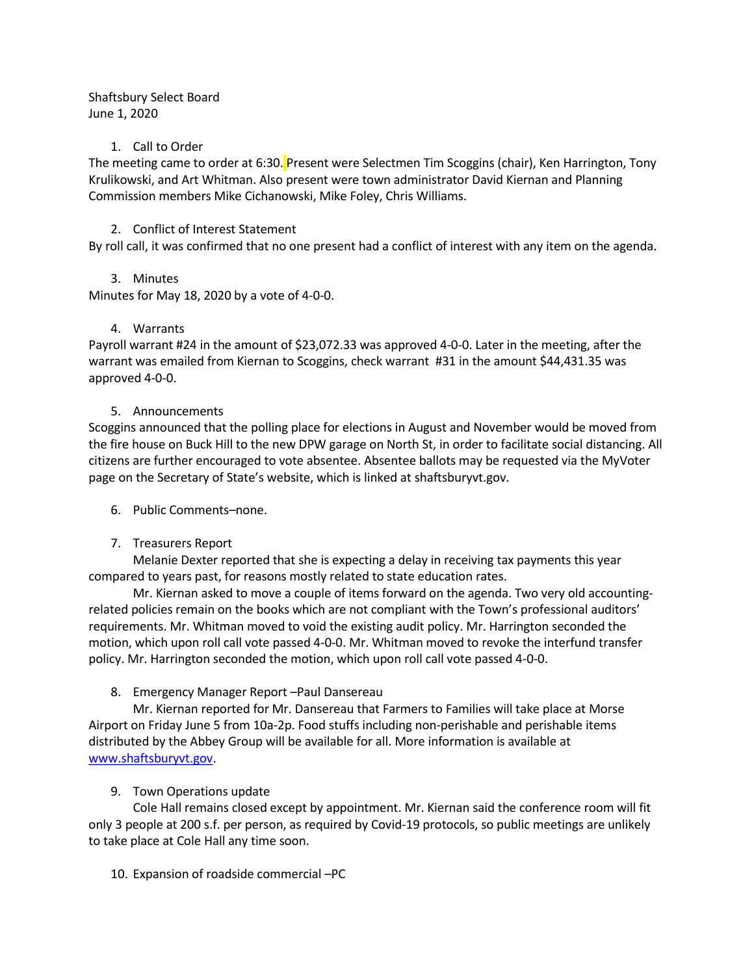Shaftsbury Select Board June 1, 2020

#### 1. Call to Order

The meeting came to order at 6:30. Present were Selectmen Tim Scoggins (chair), Ken Harrington, Tony Krulikowski, and Art Whitman. Also present were town administrator David Kiernan and Planning Commission members Mike Cichanowski, Mike Foley, Chris Williams.

### 2. Conflict of Interest Statement

By roll call, it was confirmed that no one present had a conflict of interest with any item on the agenda.

### 3. Minutes

Minutes for May 18, 2020 by a vote of 4-0-0.

## 4. Warrants

Payroll warrant #24 in the amount of \$23,072.33 was approved 4-0-0. Later in the meeting, after the warrant was emailed from Kiernan to Scoggins, check warrant #31 in the amount \$44,431.35 was approved 4-0-0.

### 5. Announcements

Scoggins announced that the polling place for elections in August and November would be moved from the fire house on Buck Hill to the new DPW garage on North St, in order to facilitate social distancing. All citizens are further encouraged to vote absentee. Absentee ballots may be requested via the MyVoter page on the Secretary of State's website, which is linked at shaftsburyvt.gov.

### 6. Public Comments–none.

### 7. Treasurers Report

Melanie Dexter reported that she is expecting a delay in receiving tax payments this year compared to years past, for reasons mostly related to state education rates.

Mr. Kiernan asked to move a couple of items forward on the agenda. Two very old accountingrelated policies remain on the books which are not compliant with the Town's professional auditors' requirements. Mr. Whitman moved to void the existing audit policy. Mr. Harrington seconded the motion, which upon roll call vote passed 4-0-0. Mr. Whitman moved to revoke the interfund transfer policy. Mr. Harrington seconded the motion, which upon roll call vote passed 4-0-0.

# 8. Emergency Manager Report –Paul Dansereau

Mr. Kiernan reported for Mr. Dansereau that Farmers to Families will take place at Morse Airport on Friday June 5 from 10a-2p. Food stuffs including non-perishable and perishable items distributed by the Abbey Group will be available for all. More information is available at [www.shaftsburyvt.gov.](http://www.shaftsburyvt.gov/)

# 9. Town Operations update

Cole Hall remains closed except by appointment. Mr. Kiernan said the conference room will fit only 3 people at 200 s.f. per person, as required by Covid-19 protocols, so public meetings are unlikely to take place at Cole Hall any time soon.

### 10. Expansion of roadside commercial –PC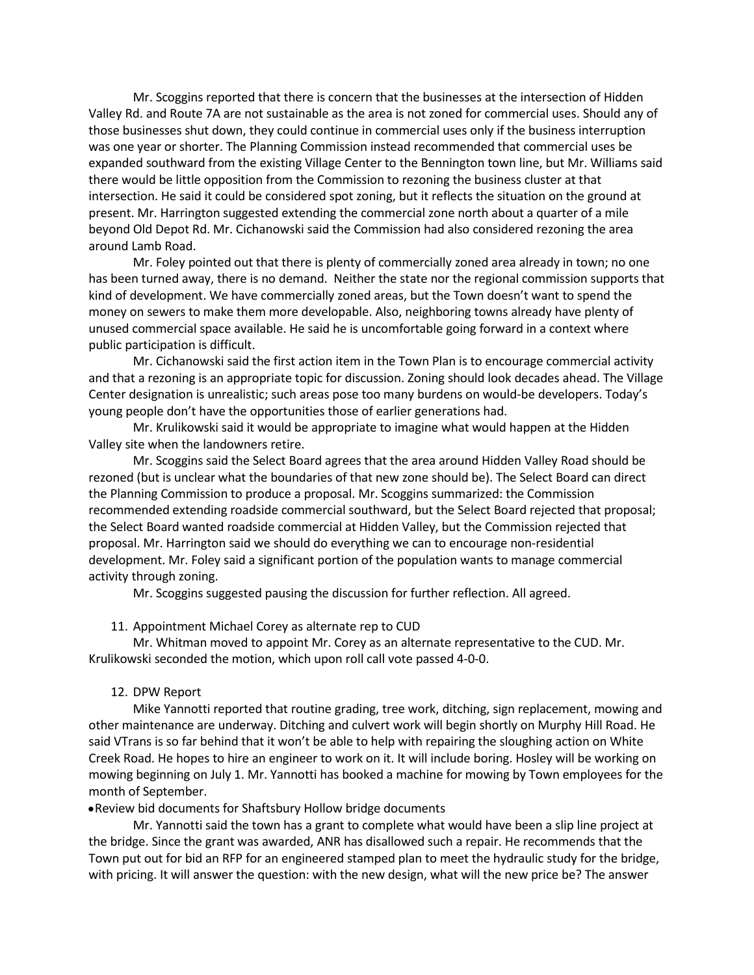Mr. Scoggins reported that there is concern that the businesses at the intersection of Hidden Valley Rd. and Route 7A are not sustainable as the area is not zoned for commercial uses. Should any of those businesses shut down, they could continue in commercial uses only if the business interruption was one year or shorter. The Planning Commission instead recommended that commercial uses be expanded southward from the existing Village Center to the Bennington town line, but Mr. Williams said there would be little opposition from the Commission to rezoning the business cluster at that intersection. He said it could be considered spot zoning, but it reflects the situation on the ground at present. Mr. Harrington suggested extending the commercial zone north about a quarter of a mile beyond Old Depot Rd. Mr. Cichanowski said the Commission had also considered rezoning the area around Lamb Road.

Mr. Foley pointed out that there is plenty of commercially zoned area already in town; no one has been turned away, there is no demand. Neither the state nor the regional commission supports that kind of development. We have commercially zoned areas, but the Town doesn't want to spend the money on sewers to make them more developable. Also, neighboring towns already have plenty of unused commercial space available. He said he is uncomfortable going forward in a context where public participation is difficult.

Mr. Cichanowski said the first action item in the Town Plan is to encourage commercial activity and that a rezoning is an appropriate topic for discussion. Zoning should look decades ahead. The Village Center designation is unrealistic; such areas pose too many burdens on would-be developers. Today's young people don't have the opportunities those of earlier generations had.

Mr. Krulikowski said it would be appropriate to imagine what would happen at the Hidden Valley site when the landowners retire.

Mr. Scoggins said the Select Board agrees that the area around Hidden Valley Road should be rezoned (but is unclear what the boundaries of that new zone should be). The Select Board can direct the Planning Commission to produce a proposal. Mr. Scoggins summarized: the Commission recommended extending roadside commercial southward, but the Select Board rejected that proposal; the Select Board wanted roadside commercial at Hidden Valley, but the Commission rejected that proposal. Mr. Harrington said we should do everything we can to encourage non-residential development. Mr. Foley said a significant portion of the population wants to manage commercial activity through zoning.

Mr. Scoggins suggested pausing the discussion for further reflection. All agreed.

11. Appointment Michael Corey as alternate rep to CUD

Mr. Whitman moved to appoint Mr. Corey as an alternate representative to the CUD. Mr. Krulikowski seconded the motion, which upon roll call vote passed 4-0-0.

#### 12. DPW Report

Mike Yannotti reported that routine grading, tree work, ditching, sign replacement, mowing and other maintenance are underway. Ditching and culvert work will begin shortly on Murphy Hill Road. He said VTrans is so far behind that it won't be able to help with repairing the sloughing action on White Creek Road. He hopes to hire an engineer to work on it. It will include boring. Hosley will be working on mowing beginning on July 1. Mr. Yannotti has booked a machine for mowing by Town employees for the month of September.

•Review bid documents for Shaftsbury Hollow bridge documents

Mr. Yannotti said the town has a grant to complete what would have been a slip line project at the bridge. Since the grant was awarded, ANR has disallowed such a repair. He recommends that the Town put out for bid an RFP for an engineered stamped plan to meet the hydraulic study for the bridge, with pricing. It will answer the question: with the new design, what will the new price be? The answer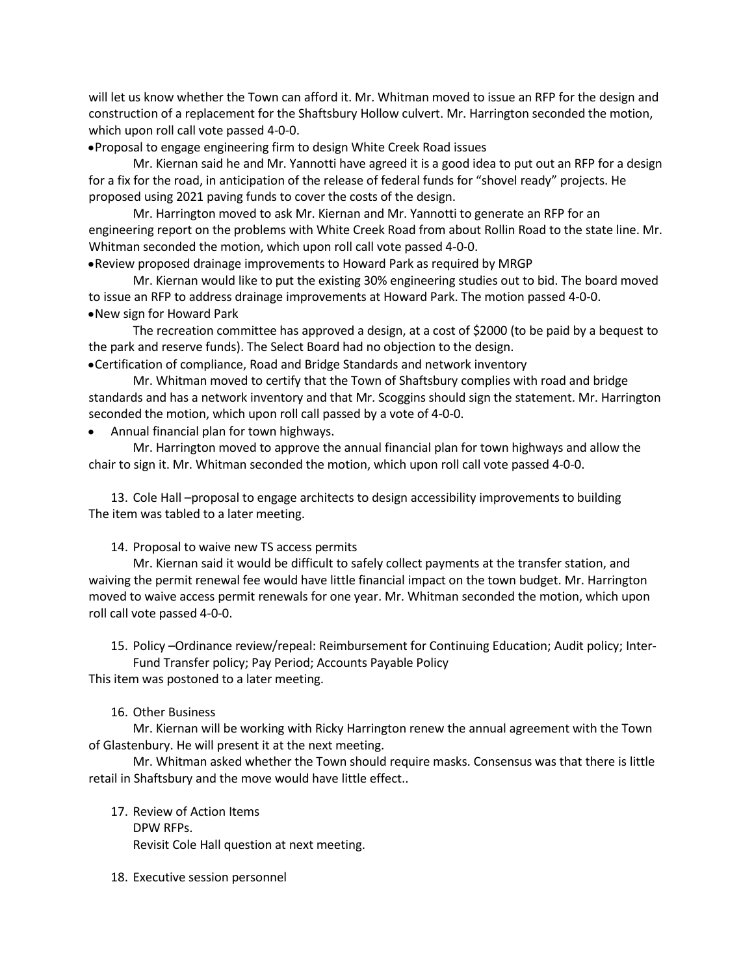will let us know whether the Town can afford it. Mr. Whitman moved to issue an RFP for the design and construction of a replacement for the Shaftsbury Hollow culvert. Mr. Harrington seconded the motion, which upon roll call vote passed 4-0-0.

•Proposal to engage engineering firm to design White Creek Road issues

Mr. Kiernan said he and Mr. Yannotti have agreed it is a good idea to put out an RFP for a design for a fix for the road, in anticipation of the release of federal funds for "shovel ready" projects. He proposed using 2021 paving funds to cover the costs of the design.

Mr. Harrington moved to ask Mr. Kiernan and Mr. Yannotti to generate an RFP for an engineering report on the problems with White Creek Road from about Rollin Road to the state line. Mr. Whitman seconded the motion, which upon roll call vote passed 4-0-0.

•Review proposed drainage improvements to Howard Park as required by MRGP

Mr. Kiernan would like to put the existing 30% engineering studies out to bid. The board moved to issue an RFP to address drainage improvements at Howard Park. The motion passed 4-0-0. •New sign for Howard Park

The recreation committee has approved a design, at a cost of \$2000 (to be paid by a bequest to the park and reserve funds). The Select Board had no objection to the design.

•Certification of compliance, Road and Bridge Standards and network inventory

Mr. Whitman moved to certify that the Town of Shaftsbury complies with road and bridge standards and has a network inventory and that Mr. Scoggins should sign the statement. Mr. Harrington seconded the motion, which upon roll call passed by a vote of 4-0-0.

• Annual financial plan for town highways.

Mr. Harrington moved to approve the annual financial plan for town highways and allow the chair to sign it. Mr. Whitman seconded the motion, which upon roll call vote passed 4-0-0.

13. Cole Hall –proposal to engage architects to design accessibility improvements to building The item was tabled to a later meeting.

14. Proposal to waive new TS access permits

Mr. Kiernan said it would be difficult to safely collect payments at the transfer station, and waiving the permit renewal fee would have little financial impact on the town budget. Mr. Harrington moved to waive access permit renewals for one year. Mr. Whitman seconded the motion, which upon roll call vote passed 4-0-0.

15. Policy –Ordinance review/repeal: Reimbursement for Continuing Education; Audit policy; Inter-Fund Transfer policy; Pay Period; Accounts Payable Policy

This item was postoned to a later meeting.

#### 16. Other Business

Mr. Kiernan will be working with Ricky Harrington renew the annual agreement with the Town of Glastenbury. He will present it at the next meeting.

Mr. Whitman asked whether the Town should require masks. Consensus was that there is little retail in Shaftsbury and the move would have little effect..

- 17. Review of Action Items DPW RFPs. Revisit Cole Hall question at next meeting.
- 18. Executive session personnel